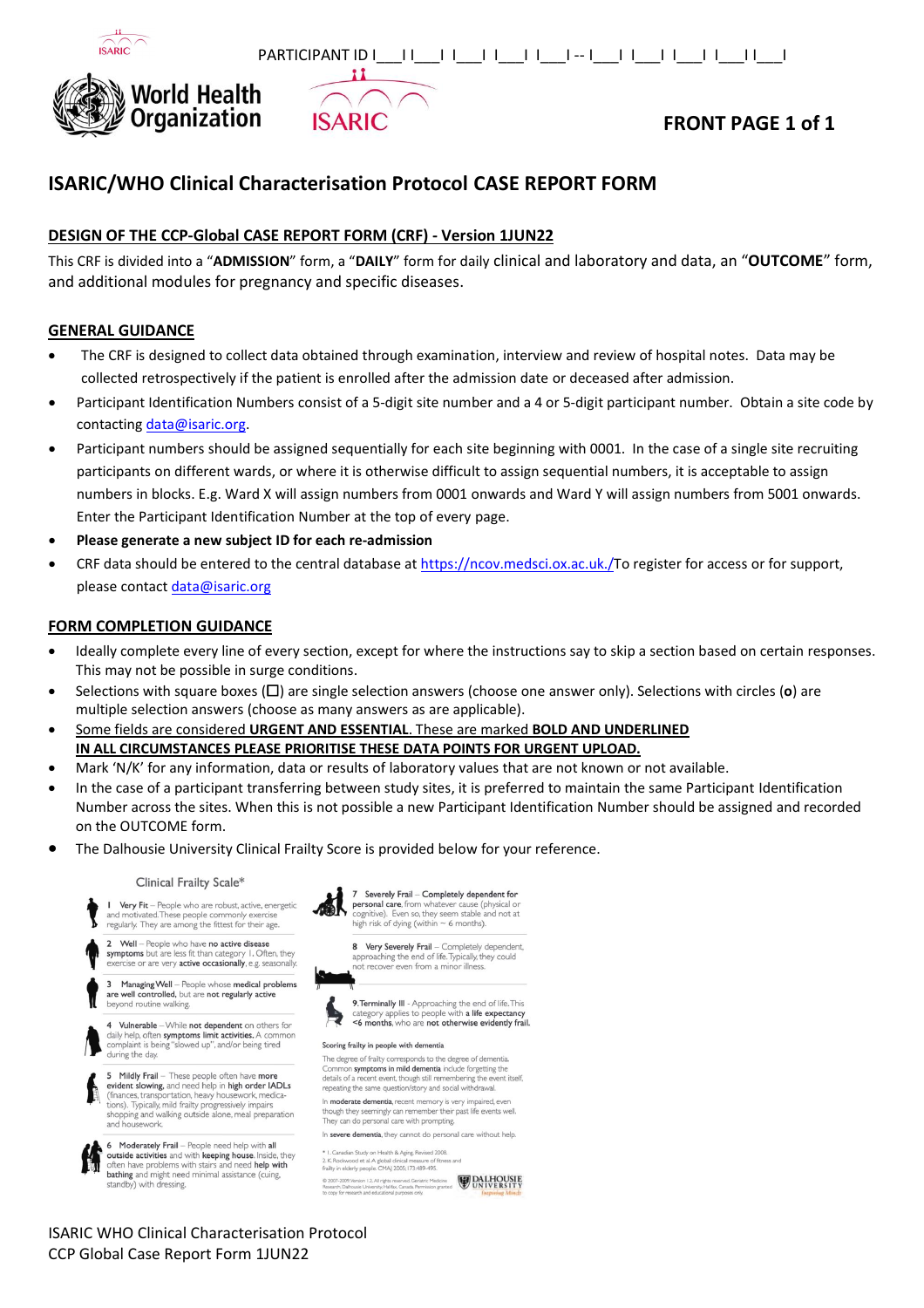



# **FRONT PAGE 1 of 1**

# **ISARIC/WHO Clinical Characterisation Protocol CASE REPORT FORM**

**ISARIC** 

 $\mathbf{11}$ 

### **DESIGN OF THE CCP-Global CASE REPORT FORM (CRF) - Version 1JUN22**

This CRF is divided into a "**ADMISSION**" form, a "**DAILY**" form for daily clinical and laboratory and data, an "**OUTCOME**" form, and additional modules for pregnancy and specific diseases.

### **GENERAL GUIDANCE**

- The CRF is designed to collect data obtained through examination, interview and review of hospital notes. Data may be collected retrospectively if the patient is enrolled after the admission date or deceased after admission.
- Participant Identification Numbers consist of a 5-digit site number and a 4 or 5-digit participant number. Obtain a site code by contacting [data@isaric.org.](mailto:data@isaric.org)
- Participant numbers should be assigned sequentially for each site beginning with 0001. In the case of a single site recruiting participants on different wards, or where it is otherwise difficult to assign sequential numbers, it is acceptable to assign numbers in blocks. E.g. Ward X will assign numbers from 0001 onwards and Ward Y will assign numbers from 5001 onwards. Enter the Participant Identification Number at the top of every page.
- **Please generate a new subject ID for each re-admission**
- CRF data should be entered to the central database at [https://ncov.medsci.ox.ac.uk./T](https://ncov.medsci.ox.ac.uk./)o register for access or for support, please contact [data@isaric.org](mailto:data@isaric.org)

### **FORM COMPLETION GUIDANCE**

- Ideally complete every line of every section, except for where the instructions say to skip a section based on certain responses. This may not be possible in surge conditions.
- Selections with square boxes (☐) are single selection answers (choose one answer only). Selections with circles (**o**) are multiple selection answers (choose as many answers as are applicable).
- Some fields are considered **URGENT AND ESSENTIAL**. These are marked **BOLD AND UNDERLINED IN ALL CIRCUMSTANCES PLEASE PRIORITISE THESE DATA POINTS FOR URGENT UPLOAD.**
- Mark 'N/K' for any information, data or results of laboratory values that are not known or not available.
- In the case of a participant transferring between study sites, it is preferred to maintain the same Participant Identification Number across the sites. When this is not possible a new Participant Identification Number should be assigned and recorded on the OUTCOME form.
- The Dalhousie University Clinical Frailty Score is provided below for your reference.

### Clinical Frailty Scale\*





7 Severely Frail – Completely dependent for<br>personal care, from whatever cause (physical or<br>cognitive). Even so, they seem stable and not at high risk of dying (within  $\sim$  6 months).

8 Very Severely Frail - Completely dependent,<br>approaching the end of life. Typically, they could not recover even from a minor illness



9. Terminally III - Approaching the end of life. This category applies to people with a life expectancy <6 months, who are not otherwise evidently frail.

### Scoring frailty in people with dementia

The degree of frailty corresponds to the degree of dementia<br>Common symptoms in mild dementia include forgetting the details of a recent event, though still remembering the event itself, repeating the same question/story and social withdrawal

In moderate dementia, recent memory is very impaired, ev though they seemingly can remember their<br>They can do personal care with prompting. member their past life events well

In severe dementia, they cannot do personal care without help.

I. Canadian Study on Health & Aging, Revised 2008 2. K. Rockwood et al. A global clinical measure of fitness and<br>frailty in elderly people. CMAJ 2005; I73:489-495. rsion 1.2. All rights reserved. Geriatric Medicine **LALHOUSIE**<br>Joie University, Halfax, Canada Permission granted UNIVERSITY

### ISARIC WHO Clinical Characterisation Protocol CCP Global Case Report Form 1JUN22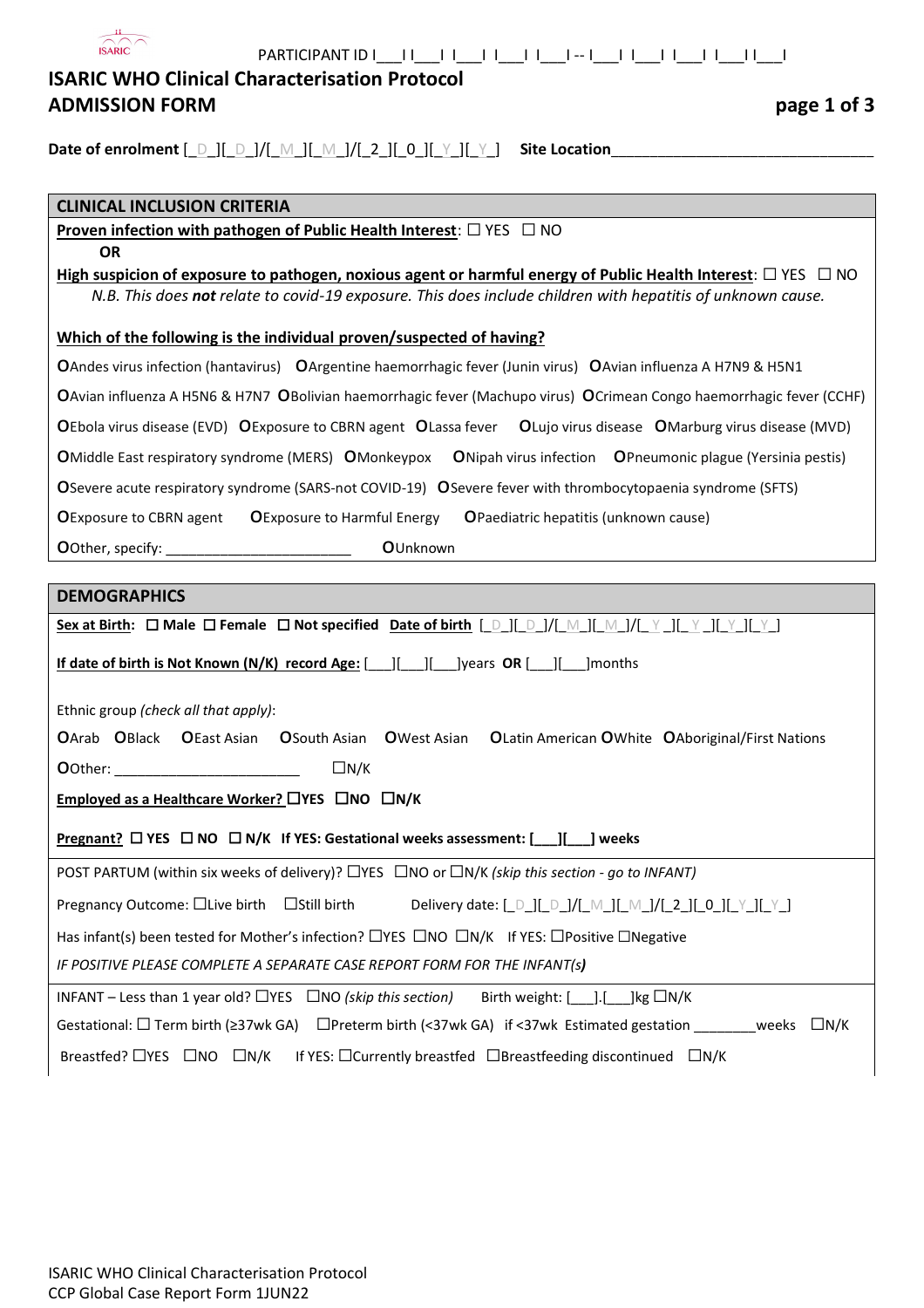| <b>ISARIC WHO Clinical Characterisation Protocol</b>                                                                                                                                                                                   |
|----------------------------------------------------------------------------------------------------------------------------------------------------------------------------------------------------------------------------------------|
| <b>ADMISSION FORM</b><br>page 1 of 3                                                                                                                                                                                                   |
|                                                                                                                                                                                                                                        |
| Date of enrolment $[\_D][\_D]/[\_M][\_M][\_M][2][0][\_Y][\_Y]$ Site Location                                                                                                                                                           |
| <b>CLINICAL INCLUSION CRITERIA</b>                                                                                                                                                                                                     |
| <b>Proven infection with pathogen of Public Health Interest:</b> $\Box$ YES $\Box$ NO                                                                                                                                                  |
| <b>OR</b>                                                                                                                                                                                                                              |
| High suspicion of exposure to pathogen, noxious agent or harmful energy of Public Health Interest: $\Box$ YES $\Box$ NO<br>N.B. This does not relate to covid-19 exposure. This does include children with hepatitis of unknown cause. |
| Which of the following is the individual proven/suspected of having?                                                                                                                                                                   |
| OAndes virus infection (hantavirus) OArgentine haemorrhagic fever (Junin virus) OAvian influenza A H7N9 & H5N1                                                                                                                         |
| OAvian influenza A H5N6 & H7N7 OBolivian haemorrhagic fever (Machupo virus) OCrimean Congo haemorrhagic fever (CCHF)                                                                                                                   |
| OEbola virus disease (EVD) OExposure to CBRN agent OLassa fever OLujo virus disease OMarburg virus disease (MVD)                                                                                                                       |
| ONipah virus infection OPneumonic plague (Yersinia pestis)<br><b>OMiddle East respiratory syndrome (MERS) OMonkeypox</b>                                                                                                               |
| O Severe acute respiratory syndrome (SARS-not COVID-19) O Severe fever with thrombocytopaenia syndrome (SFTS)                                                                                                                          |
| <b>OExposure to CBRN agent OExposure to Harmful Energy</b><br>OPaediatric hepatitis (unknown cause)                                                                                                                                    |
| OUnknown                                                                                                                                                                                                                               |
|                                                                                                                                                                                                                                        |
| <b>DEMOGRAPHICS</b>                                                                                                                                                                                                                    |
| Sex at Birth: $\Box$ Male $\Box$ Female $\Box$ Not specified Date of birth $[$ D ][ D ]/[ M ][ M ]/[ Y ][ Y ][ Y ][ Y ][ Y ]                                                                                                           |
| If date of birth is Not Known (N/K) record Age: [   [   [   ]   ]years OR [   ]   ]months                                                                                                                                              |
| Ethnic group (check all that apply):                                                                                                                                                                                                   |
| OArab OBlack OEast Asian<br><b>OSouth Asian O</b> West Asian<br>OLatin American OWhite OAboriginal/First Nations                                                                                                                       |
| $\Box N/K$<br><b>O</b> Other:                                                                                                                                                                                                          |
| Employed as a Healthcare Worker? $\Box$ YES $\Box$ NO $\Box$ N/K                                                                                                                                                                       |
| <b>Pregnant?</b> $\Box$ YES $\Box$ NO $\Box$ N/K If YES: Gestational weeks assessment: $[\underline{\phantom{A}}][\underline{\phantom{A}}]$ weeks                                                                                      |
| POST PARTUM (within six weeks of delivery)? $\Box$ YES $\Box$ NO or $\Box N/K$ (skip this section - go to INFANT)                                                                                                                      |
| Pregnancy Outcome: □Live birth<br>$\square$ Still birth<br>Delivery date: [_D_][_D_]/[_M_][_M_]/[_2_][_0_][_Y_][_Y_]                                                                                                                   |
| Has infant(s) been tested for Mother's infection? $\Box$ YES $\Box$ NO $\Box$ N/K If YES: $\Box$ Positive $\Box$ Negative                                                                                                              |
| IF POSITIVE PLEASE COMPLETE A SEPARATE CASE REPORT FORM FOR THE INFANT(s)                                                                                                                                                              |
| INFANT – Less than 1 year old? $\Box$ YES $\Box$ NO (skip this section)<br>Birth weight: $[$ ]. [ ] kg $\Box N/K$                                                                                                                      |
| Gestational: $\square$ Term birth ( $\geq$ 37wk GA)<br>$\Box$ Preterm birth (<37wk GA) if <37wk Estimated gestation __________ weeks $\Box N/K$                                                                                        |
| Breastfed? $\Box$ YES $\Box$ NO $\Box$ N/K<br>If YES: $\Box$ Currently breastfed $\Box$ Breastfeeding discontinued $\Box N/K$                                                                                                          |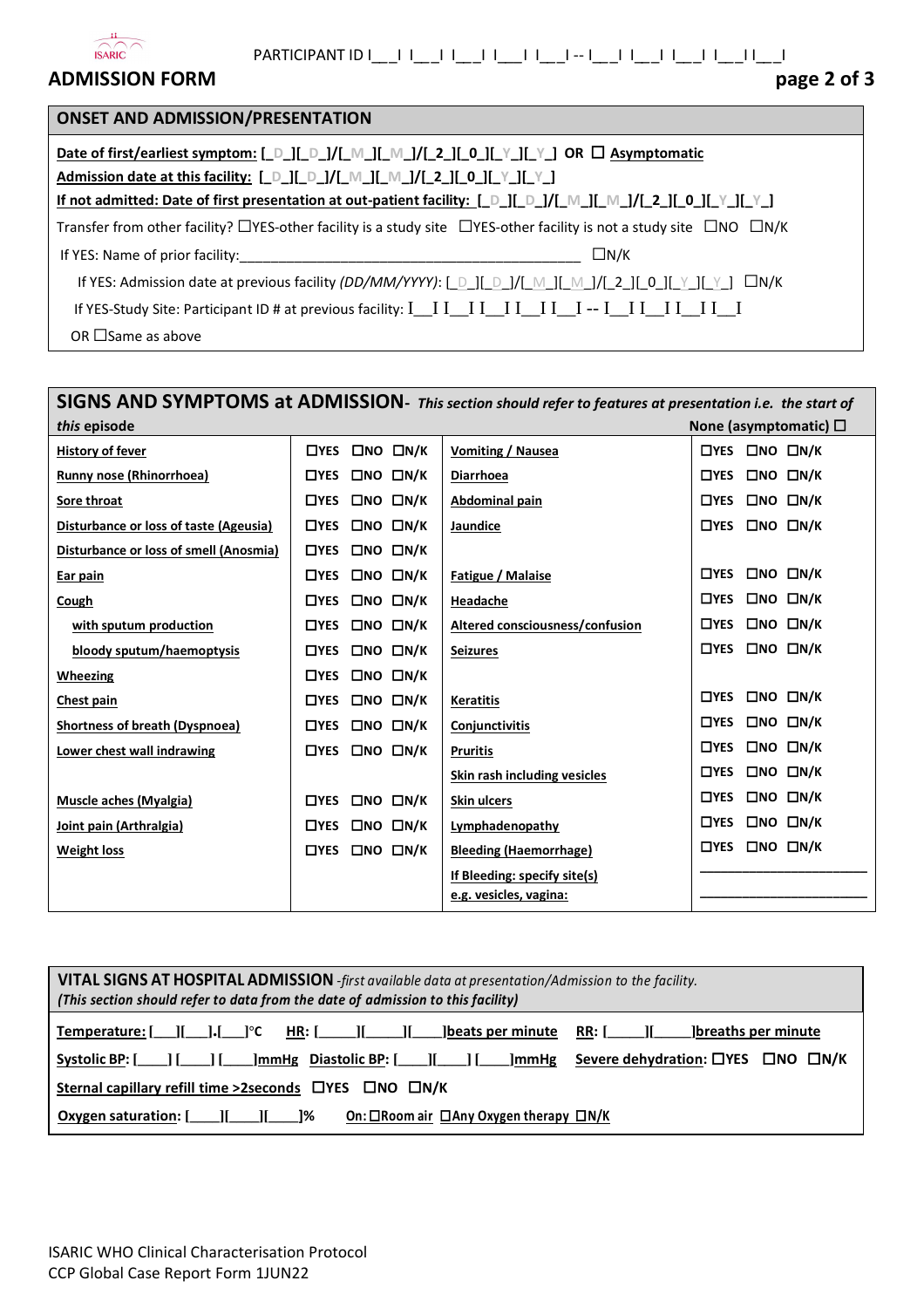

 $\blacksquare$ 

# **ADMISSION FORM page 2 of 3**

| page 2 of 3 |  |  |  |
|-------------|--|--|--|
|-------------|--|--|--|

| <b>ONSET AND ADMISSION/PRESENTATION</b>                                                                                                                                                                                                                                                                                                                                                 |
|-----------------------------------------------------------------------------------------------------------------------------------------------------------------------------------------------------------------------------------------------------------------------------------------------------------------------------------------------------------------------------------------|
| Date of first/earliest symptom: $\begin{bmatrix} D \end{bmatrix} \begin{bmatrix} D \end{bmatrix} \begin{bmatrix} M \end{bmatrix} \begin{bmatrix} M \end{bmatrix} \begin{bmatrix} 2 \end{bmatrix} \begin{bmatrix} 0 \end{bmatrix} \begin{bmatrix} Y \end{bmatrix} \begin{bmatrix} V \end{bmatrix}$ OR $\Box$ Asymptomatic<br>Admission date at this facility: [D][D]/[M][M]/[2][0][Y][Y] |
| If not admitted: Date of first presentation at out-patient facility: $[\Box \Box] [\Box \Box]/[\Box \Box] / [\Box \Box]$ [0.][Y.][Y.]                                                                                                                                                                                                                                                   |
| Transfer from other facility? $\Box$ YES-other facility is a study site $\Box$ YES-other facility is not a study site $\Box$ NO $\Box$ N/K                                                                                                                                                                                                                                              |
| $\Box N/K$<br>If YES: Name of prior facility: Note that the state of the state of the state of the state of the state of the state of the state of the state of the state of the state of the state of the state of the state of the state o                                                                                                                                            |
| If YES: Admission date at previous facility (DD/MM/YYYY): [ D ][ D ]/[ M ]][ M ]/[ 2 ][ 0 ][ Y ][ Y ] $\Box N/K$                                                                                                                                                                                                                                                                        |
|                                                                                                                                                                                                                                                                                                                                                                                         |
| OR $\Box$ Same as above                                                                                                                                                                                                                                                                                                                                                                 |

# **SIGNS AND SYMPTOMS at ADMISSION-** *This section should refer to features at presentation i.e. the start of*  **i** *this* episode None (asymptomatic)  $□$

| <b>History of fever</b>                | □NO □N/K<br>$\square$ YES             | Vomiting / Nausea               | $\Box$ NO $\Box$ N/K<br>$\square$ YES |
|----------------------------------------|---------------------------------------|---------------------------------|---------------------------------------|
| Runny nose (Rhinorrhoea)               | $\Box$ NO $\Box$ N/K<br>$\Box$ YES    | Diarrhoea                       | $\Box$ NO $\Box$ N/K<br>$\Box$ YES    |
| Sore throat                            | $\Box$ NO $\Box$ N/K<br>$\Box$ YES    | Abdominal pain                  | $\Box$ NO $\Box$ N/K<br>$\square$ YES |
| Disturbance or loss of taste (Ageusia) | $\Box$ NO $\Box$ N/K<br>$\Box$ YES    | Jaundice                        | $\Box$ NO $\Box$ N/K<br>$\square$ YES |
| Disturbance or loss of smell (Anosmia) | $\Box$ NO $\Box$ N/K<br>$\square$ YES |                                 |                                       |
| Ear pain                               | $\Box$ NO $\Box$ N/K<br>$\square$ YES | Fatigue / Malaise               | $\Box$ NO $\Box$ N/K<br>$\square$ YES |
| Cough                                  | $\Box$ NO $\Box$ N/K<br>$\square$ YES | Headache                        | ONO ON/K<br>$\square$ YES             |
| with sputum production                 | $\Box$ NO $\Box$ N/K<br>$\square$ YES | Altered consciousness/confusion | $\Box$ NO $\Box$ N/K<br>$\square$ YES |
| bloody sputum/haemoptysis              | $\Box$ NO $\Box$ N/K<br>$\square$ YES | <b>Seizures</b>                 | $\Box$ NO $\Box$ N/K<br>$\square$ YES |
| Wheezing                               | $\Box$ NO $\Box$ N/K<br>$\Box$ YES    |                                 |                                       |
| Chest pain                             | $\Box$ NO $\Box$ N/K<br>$\Box$ YES    | <b>Keratitis</b>                | $\Box$ NO $\Box$ N/K<br>$\square$ YES |
| <b>Shortness of breath (Dyspnoea)</b>  | $\Box$ NO $\Box$ N/K<br>$\square$ YES | Conjunctivitis                  | $\Box$ NO $\Box$ N/K<br>$\square$ YES |
| Lower chest wall indrawing             | $\Box$ NO $\Box$ N/K<br>$\Box$ YES    | <b>Pruritis</b>                 | $\Box$ NO $\Box$ N/K<br>$\Box$ YES    |
|                                        |                                       | Skin rash including vesicles    | $\Box$ NO $\Box$ N/K<br>$\square$ YES |
| Muscle aches (Myalgia)                 | $\Box$ NO $\Box$ N/K<br>$\square$ YES | <b>Skin ulcers</b>              | ONO ON/K<br>$\square$ YES             |
| Joint pain (Arthralgia)                | $\Box$ NO $\Box$ N/K<br>$\Box$ YES    | Lymphadenopathy                 | $\Box$ YES<br>$\Box$ NO $\Box$ N/K    |
| <b>Weight loss</b>                     | $\Box$ NO $\Box$ N/K<br>$\Box$ YES    | <b>Bleeding (Haemorrhage)</b>   | $\Box$ NO $\Box$ N/K<br>$\square$ YES |
|                                        |                                       | If Bleeding: specify site(s)    |                                       |
|                                        |                                       | e.g. vesicles, vagina:          |                                       |

| VITAL SIGNS AT HOSPITAL ADMISSION -first available data at presentation/Admission to the facility.                                                                                         |  |  |  |  |  |  |
|--------------------------------------------------------------------------------------------------------------------------------------------------------------------------------------------|--|--|--|--|--|--|
| (This section should refer to data from the date of admission to this facility)                                                                                                            |  |  |  |  |  |  |
| <u>RR: [_______][</u><br><b>p</b> lbreaths per minute<br>$HR: [$ $]$ $]$<br>beats per minute                                                                                               |  |  |  |  |  |  |
| Severe dehydration: $\Box$ YES $\Box$ NO $\Box$ N/K<br><b>Systolic BP:</b> [<br>$\lfloor$ mmHg Diastolic BP: $\lceil$ $\lfloor$ $\rfloor$ $\lfloor$ $\lfloor$ $\rfloor$<br>$\mathsf{mmlg}$ |  |  |  |  |  |  |
| Sternal capillary refill time >2seconds □YES □NO □N/K                                                                                                                                      |  |  |  |  |  |  |
| On: $\Box$ Room air $\Box$ Any Oxygen therapy $\Box N/K$<br>1%<br><b>Oxygen saturation:</b> [                                                                                              |  |  |  |  |  |  |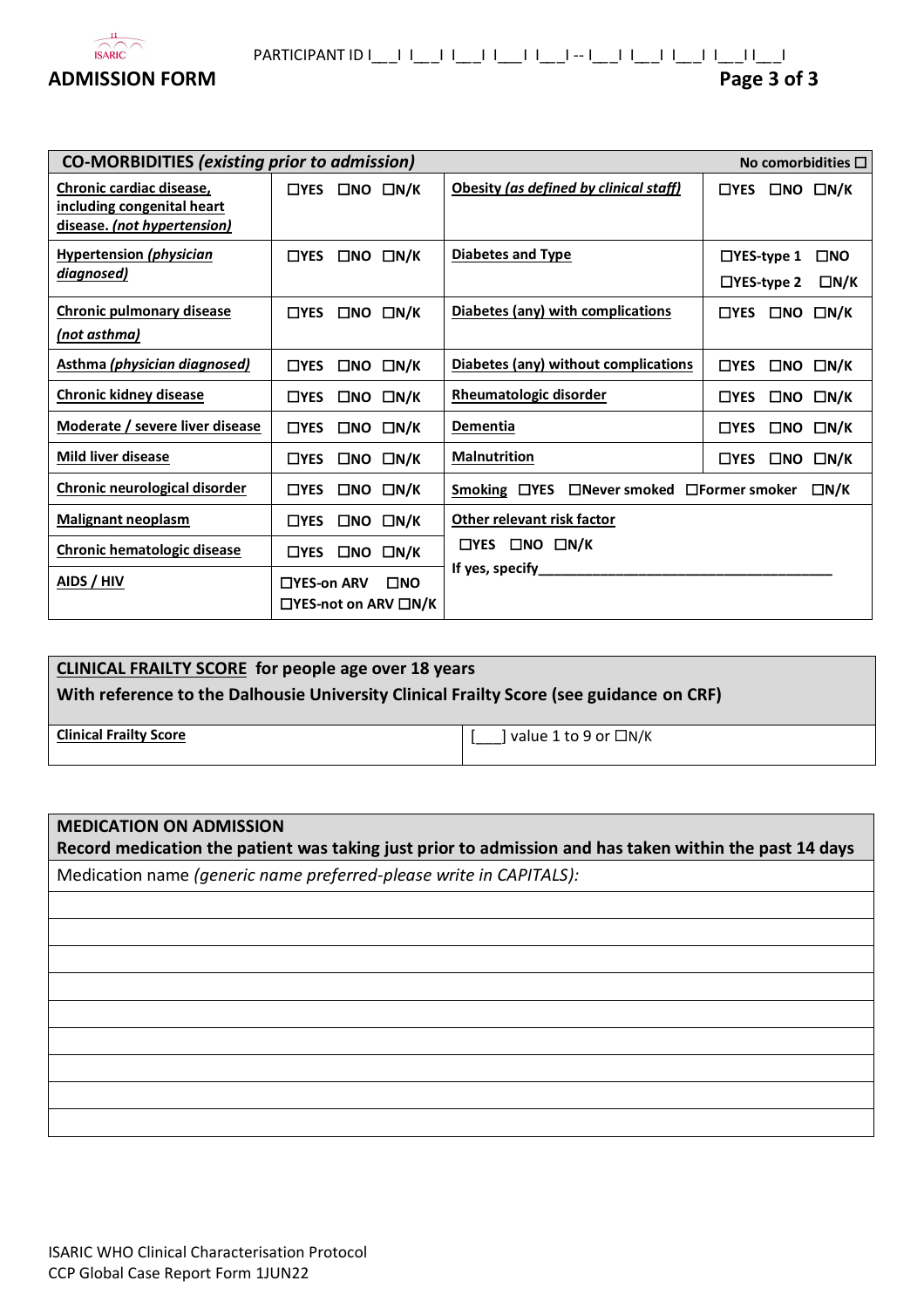

| <b>CO-MORBIDITIES (existing prior to admission)</b>                                   |             |              |                                                  | No comorbidities $\square$                |                                        |              |                            |  |
|---------------------------------------------------------------------------------------|-------------|--------------|--------------------------------------------------|-------------------------------------------|----------------------------------------|--------------|----------------------------|--|
| Chronic cardiac disease,<br>including congenital heart<br>disease. (not hypertension) | $\Box$ YES  |              | $\Box$ NO $\Box$ N/K                             | Obesity (as defined by clinical staff)    | $\Box$ YES                             |              | $\Box$ NO $\Box$ N/K       |  |
| <b>Hypertension (physician</b><br>diagnosed)                                          | $\Box$ YES  |              | $\square$ NO $\square$ N/K                       | <b>Diabetes and Type</b>                  | $\Box$ YES-type 1<br>$\Box$ YES-type 2 |              | $\square$ NO<br>$\Box N/K$ |  |
| <b>Chronic pulmonary disease</b><br><u>(not asthma)</u>                               | $\Box$ YES  |              | $\Box$ NO $\Box$ N/K                             | Diabetes (any) with complications         | $\Box$ YES                             | $\square$ NO | $\Box N/K$                 |  |
| <b>Asthma (physician diagnosed)</b>                                                   | $\Box$ YES  | □NO          | $\Box N/K$                                       | Diabetes (any) without complications      | $\Box$ YES                             |              | $\Box$ NO $\Box$ N/K       |  |
| <b>Chronic kidney disease</b>                                                         | $\Box$ YES  | □NO          | $\Box N/K$                                       | <b>Rheumatologic disorder</b>             | $\square$ YES                          | $\square$ NO | $\Box N/K$                 |  |
| Moderate / severe liver disease                                                       | $\Box$ YES  |              | $\Box$ NO $\Box$ N/K                             | <b>Dementia</b>                           | $\Box$ YES                             |              | $\Box$ NO $\Box$ N/K       |  |
| <b>Mild liver disease</b>                                                             | $\Box$ YES  |              | $\Box$ NO $\Box$ N/K                             | <b>Malnutrition</b>                       | $\Box$ YES                             |              | $\Box$ NO $\Box$ N/K       |  |
| Chronic neurological disorder                                                         | $\Box$ YES  |              | $\Box$ NO $\Box$ N/K                             | Smoking □YES □Never smoked □Former smoker |                                        |              | $\square$ N/K              |  |
| <b>Malignant neoplasm</b>                                                             | $\Box$ YES  |              | $\Box$ NO $\Box$ N/K                             | Other relevant risk factor                |                                        |              |                            |  |
| Chronic hematologic disease                                                           | $\Box$ YES  | $\square$ NO | $\Box N/K$                                       | $\Box$ YES $\Box$ NO $\Box$ N/K           |                                        |              |                            |  |
| AIDS / HIV                                                                            | □YES-on ARV |              | $\square$ NO<br>$\Box$ YES-not on ARV $\Box N/K$ |                                           |                                        |              |                            |  |

### **CLINICAL FRAILTY SCORE for people age over 18 years**

**With reference to the Dalhousie University Clinical Frailty Score (see guidance on CRF)**

Clinical Frailty Score **a** a set of the set of the set of the set of the set of the set of the set of the set of the set of the set of the set of the set of the set of the set of the set of the set of the set of the set o

### **MEDICATION ON ADMISSION**

**Record medication the patient was taking just prior to admission and has taken within the past 14 days**

Medication name *(generic name preferred-please write in CAPITALS):*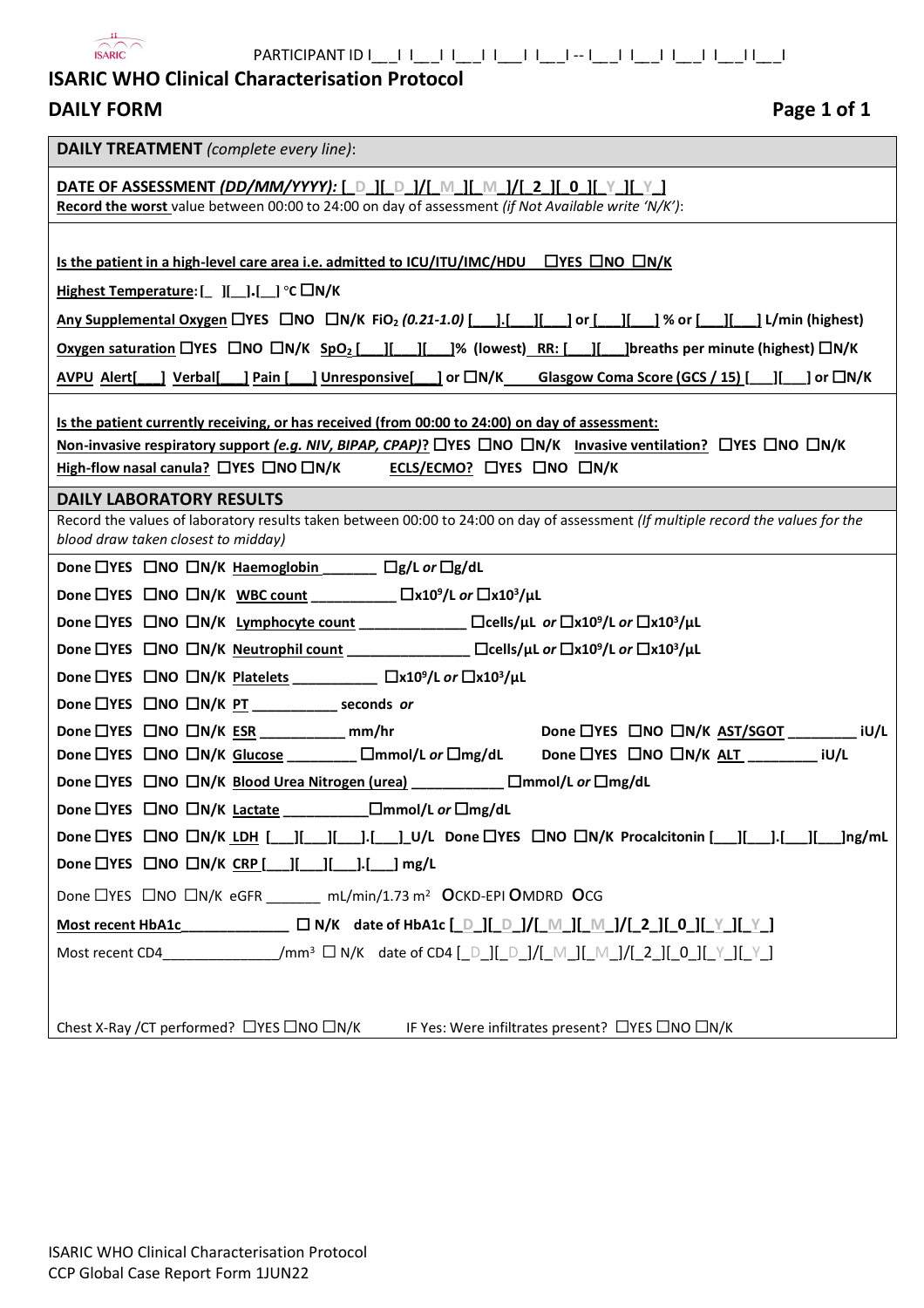

# **ISARIC WHO Clinical Characterisation Protocol**

| <b>DAILY FORM</b> |
|-------------------|
|                   |

| <b>DAILY TREATMENT</b> (complete every line):                                                                                                                                                                                                      |  |  |  |  |  |  |
|----------------------------------------------------------------------------------------------------------------------------------------------------------------------------------------------------------------------------------------------------|--|--|--|--|--|--|
| <u>DATE OF ASSESSMENT (DD/MM/YYYY): [ D ][ D ]/[ M ][ M ]/[ 2 ][ 0 ][ Y ][ Y ]</u>                                                                                                                                                                 |  |  |  |  |  |  |
| Record the worst value between 00:00 to 24:00 on day of assessment (if Not Available write 'N/K'):                                                                                                                                                 |  |  |  |  |  |  |
|                                                                                                                                                                                                                                                    |  |  |  |  |  |  |
| Is the patient in a high-level care area i.e. admitted to ICU/ITU/IMC/HDU $\Box$ YES $\Box$ NO $\Box$ N/K                                                                                                                                          |  |  |  |  |  |  |
| Highest Temperature: $[\ ]$ $]$ $]$ . $]$ . $[$ $]$ $\degree$ C $\Box$ N/K                                                                                                                                                                         |  |  |  |  |  |  |
| Any Supplemental Oxygen LYES LNO LN/K FiO <sub>2</sub> (0.21-1.0) [ 1.[ 1] 1 or [ 1] 1% or [ 1] 14/min (highest)                                                                                                                                   |  |  |  |  |  |  |
| <b>Oxygen saturation</b> LIYES LINO LIN/K SpO <sub>2</sub> [ 1   1   1   1% (lowest) RR: [ 1   1] [ ] breaths per minute (highest) LIN/K                                                                                                           |  |  |  |  |  |  |
| <u>AVPU Alert[ ] Verbal[ ] Pain [ ] Unresponsive[</u> ] or $\Box N/K$ Glasgow Coma Score (GCS / 15) [ __] [ __] or $\Box N/K$                                                                                                                      |  |  |  |  |  |  |
|                                                                                                                                                                                                                                                    |  |  |  |  |  |  |
| Is the patient currently receiving, or has received (from 00:00 to 24:00) on day of assessment:<br>Non-invasive respiratory support (e.g. NIV, BIPAP, CPAP)? $\Box$ YES $\Box$ NO $\Box N/K$ Invasive ventilation? $\Box$ YES $\Box$ NO $\Box N/K$ |  |  |  |  |  |  |
| High-flow nasal canula? □YES □NO □N/K ECLS/ECMO? □YES □NO □N/K                                                                                                                                                                                     |  |  |  |  |  |  |
| <b>DAILY LABORATORY RESULTS</b>                                                                                                                                                                                                                    |  |  |  |  |  |  |
| Record the values of laboratory results taken between 00:00 to 24:00 on day of assessment (If multiple record the values for the                                                                                                                   |  |  |  |  |  |  |
| blood draw taken closest to midday)                                                                                                                                                                                                                |  |  |  |  |  |  |
| Done □YES □NO □N/K Haemoglobin _____ □g/L or □g/dL                                                                                                                                                                                                 |  |  |  |  |  |  |
| Done □YES □NO □N/K WBC count _________ □x10 <sup>9</sup> /L or □x10 <sup>3</sup> /µL                                                                                                                                                               |  |  |  |  |  |  |
| Done □YES □NO □N/K Lymphocyte count ____________ □cells/µL or □x10 <sup>9</sup> /L or □x10 <sup>3</sup> /µL                                                                                                                                        |  |  |  |  |  |  |
| Done □YES □NO □N/K Neutrophil count _______________ □cells/µL or □x10 <sup>9</sup> /L or □x10 <sup>3</sup> /µL                                                                                                                                     |  |  |  |  |  |  |
| Done □YES □NO □N/K Platelets _________ □x10 <sup>9</sup> /L or □x10 <sup>3</sup> /µL                                                                                                                                                               |  |  |  |  |  |  |
| Done $\Box$ YES $\Box$ NO $\Box$ N/K PT _____________ seconds or                                                                                                                                                                                   |  |  |  |  |  |  |
| Done LIYES CINO CIN/K AST/SGOT __________ iU/L<br>Done $\Box$ YES $\Box$ NO $\Box$ N/K ESR _____________ mm/hr                                                                                                                                     |  |  |  |  |  |  |
| Done DYES ONO ON/K Glucose ________ Ommol/L or Omg/dL Done OYES ONO ON/K ALT ________ iU/L                                                                                                                                                         |  |  |  |  |  |  |
| Done □YES □NO □N/K Blood Urea Nitrogen (urea) __________ □mmol/L or □mg/dL                                                                                                                                                                         |  |  |  |  |  |  |
| Done LYES LINO LIN/K Lactate _______________ LImmol/L or LImg/dL                                                                                                                                                                                   |  |  |  |  |  |  |
| Done □YES □NO □N/K LDH [__][___][___].[___]_U/L Done □YES □NO □N/K Procalcitonin [___][___].[___][___]ng/mL                                                                                                                                        |  |  |  |  |  |  |
| Done $\Box$ YES $\Box$ NO $\Box$ N/K CRP [   ][ ][ ].[ ] mg/L                                                                                                                                                                                      |  |  |  |  |  |  |
| Done □YES □NO □N/K eGFR ______ mL/min/1.73 m <sup>2</sup> OCKD-EPI OMDRD OCG                                                                                                                                                                       |  |  |  |  |  |  |
| Most recent HbA1c _______________ _ __ _ _ _ _ _ _ N/K date of HbA1c [_D_][_D_]/[_M_][_M_]/[_2_][_0_][_Y_][_Y_]                                                                                                                                    |  |  |  |  |  |  |
| Most recent CD4__________________/mm <sup>3</sup> $\Box$ N/K date of CD4 [_D_][_D_]/[_M_][_M_]/[_2_][_0_][_Y_][_Y_]                                                                                                                                |  |  |  |  |  |  |
|                                                                                                                                                                                                                                                    |  |  |  |  |  |  |
|                                                                                                                                                                                                                                                    |  |  |  |  |  |  |
| Chest X-Ray /CT performed? □YES □NO □N/K IF Yes: Were infiltrates present? □YES □NO □N/K                                                                                                                                                           |  |  |  |  |  |  |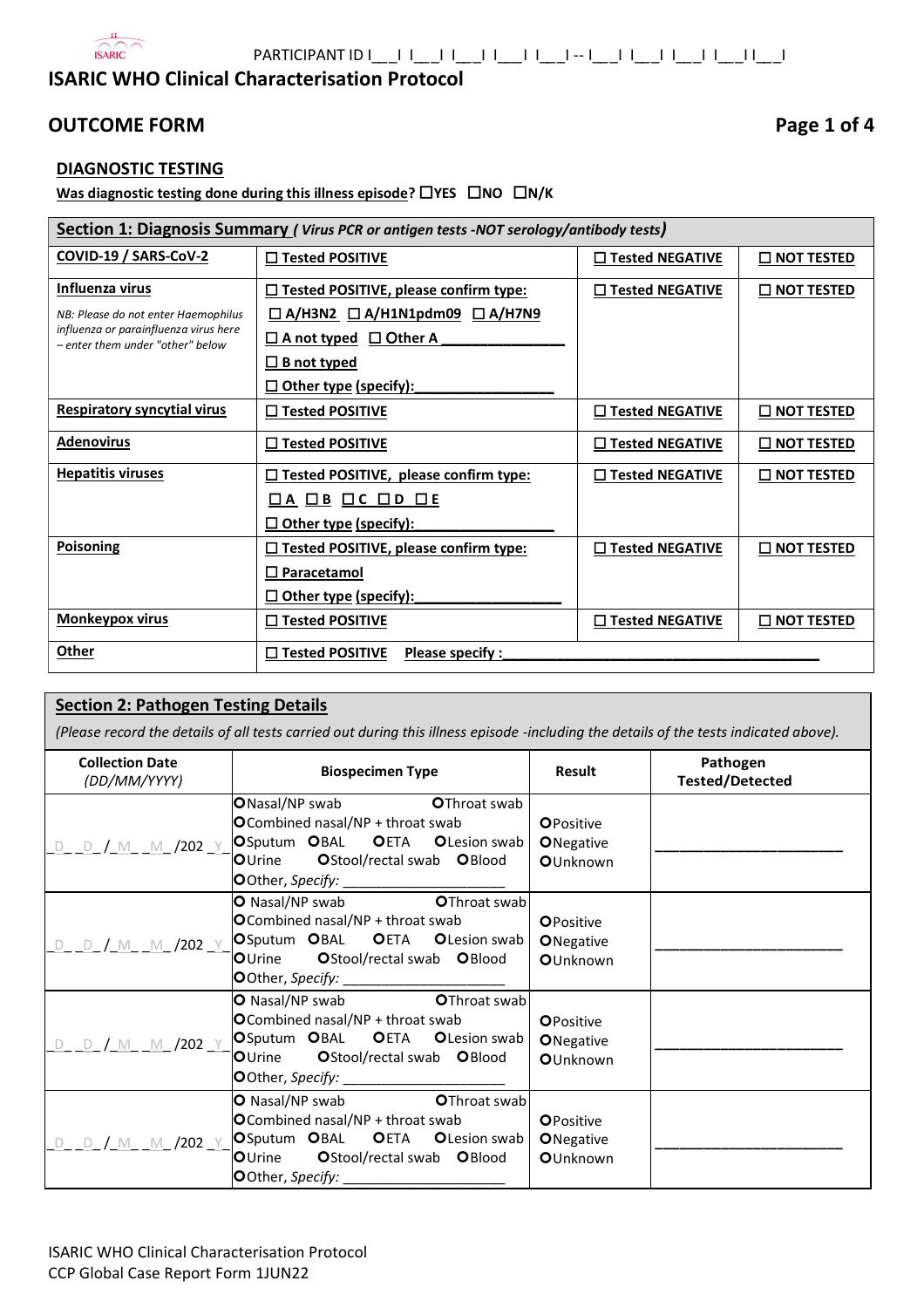

PARTICIPANT ID I\_*\_*\_I I\_*\_*\_I I\_*\_*\_I I\_*\_\_*I I\_*\_*\_I -- I\_*\_*\_I I\_*\_*\_I I\_*\_*\_I I\_*\_*\_I I\_*\_*\_I

# **ISARIC WHO Clinical Characterisation Protocol**

# **OUTCOME FORM Page 1 of 4**

### **DIAGNOSTIC TESTING**

**Was diagnostic testing done during this illness episode?** ☐**YES** ☐**NO** ☐**N/K**

| Section 1: Diagnosis Summary (Virus PCR or antigen tests -NOT serology/antibody tests) |                                                                                                                                            |                        |                      |  |  |  |  |
|----------------------------------------------------------------------------------------|--------------------------------------------------------------------------------------------------------------------------------------------|------------------------|----------------------|--|--|--|--|
| COVID-19 / SARS-CoV-2                                                                  | □ Tested POSITIVE                                                                                                                          | <b>Tested NEGATIVE</b> | <u>L NOT TESTED</u>  |  |  |  |  |
| <b>Influenza virus</b>                                                                 | $\Box$ Tested POSITIVE, please confirm type:                                                                                               | □ Tested NEGATIVE      | $\square$ not tested |  |  |  |  |
| NB: Please do not enter Haemophilus                                                    | $\Box$ A/H3N2 $\Box$ A/H1N1pdm09 $\Box$ A/H7N9                                                                                             |                        |                      |  |  |  |  |
| influenza or parainfluenza virus here<br>- enter them under "other" below              | □ A not typed □ Other A                                                                                                                    |                        |                      |  |  |  |  |
|                                                                                        | $\square$ B not typed                                                                                                                      |                        |                      |  |  |  |  |
|                                                                                        | $\square$ Other type (specify):                                                                                                            |                        |                      |  |  |  |  |
| <b>Respiratory syncytial virus</b>                                                     | □ Tested POSITIVE                                                                                                                          | □ Tested NEGATIVE      | $\square$ not tested |  |  |  |  |
| <b>Adenovirus</b>                                                                      | □ Tested POSITIVE                                                                                                                          | <b>Tested NEGATIVE</b> | $\Box$ NOT TESTED    |  |  |  |  |
| <b>Hepatitis viruses</b>                                                               | □ Tested POSITIVE, please confirm type:                                                                                                    | □ Tested NEGATIVE      | $\square$ not tested |  |  |  |  |
|                                                                                        | $\begin{array}{ccccccccc}\n\boxed{\square A} & \boxed{\square B} & \boxed{\square C} & \boxed{\square D} & \boxed{\square E}\n\end{array}$ |                        |                      |  |  |  |  |
|                                                                                        | $\square$ Other type (specify):                                                                                                            |                        |                      |  |  |  |  |
| Poisoning                                                                              | $\Box$ Tested POSITIVE, please confirm type:                                                                                               | $\Box$ Tested NEGATIVE | $\square$ not tested |  |  |  |  |
|                                                                                        | □ Paracetamol                                                                                                                              |                        |                      |  |  |  |  |
|                                                                                        | $\square$ Other type (specify):                                                                                                            |                        |                      |  |  |  |  |
| <b>Monkeypox virus</b>                                                                 | □ Tested POSITIVE                                                                                                                          | □ Tested NEGATIVE      | $\square$ not tested |  |  |  |  |
| Other                                                                                  | □ Tested POSITIVE<br>Please specify :                                                                                                      |                        |                      |  |  |  |  |

### **Section 2: Pathogen Testing Details**

*(Please record the details of all tests carried out during this illness episode -including the details of the tests indicated above).*

| <b>Collection Date</b><br>(DD/MM/YYYY) | <b>Biospecimen Type</b>                                                                                                                                                              | Result                                                    | Pathogen<br><b>Tested/Detected</b> |
|----------------------------------------|--------------------------------------------------------------------------------------------------------------------------------------------------------------------------------------|-----------------------------------------------------------|------------------------------------|
| <u>d d / m m /202 y</u>                | <b>O</b> Nasal/NP swab<br><b>O</b> Throat swab<br>OCombined nasal/NP + throat swab<br>OSputum OBAL OETA OLesion swab<br>OUrine OStool/rectal swab OBlood                             | <b>OPositive</b><br><b>O</b> Negative<br>OUnknown         |                                    |
| D D / M M /202 Y                       | O Nasal/NP swab <b>OThroat swab</b><br>OCombined nasal/NP + throat swab<br>OSputum OBAL OETA OLesion swab<br>OUrine OStool/rectal swab OBlood<br>OOther, Specify: __________________ | <b>O</b> Positive<br><b>O</b> Negative<br>OUnknown        |                                    |
| D D / M M /202 Y                       | OThroat swab<br><b>O</b> Nasal/NP swab<br>OCombined nasal/NP + throat swab<br>OSputum OBAL OETA OLesion swab<br>OUrine OStool/rectal swab OBlood                                     | <b>OPositive</b><br><b>O</b> Negative<br><b>O</b> Unknown |                                    |
| <u>d d / m m /202 y</u>                | O Nasal/NP swab <b>OThroat swab</b><br>OCombined nasal/NP + throat swab<br>OSputum OBAL OETA OLesion swab<br>OUrine OStool/rectal swab OBlood<br>OOther, Specify: ____________       | <b>OPositive</b><br><b>O</b> Negative<br>OUnknown         |                                    |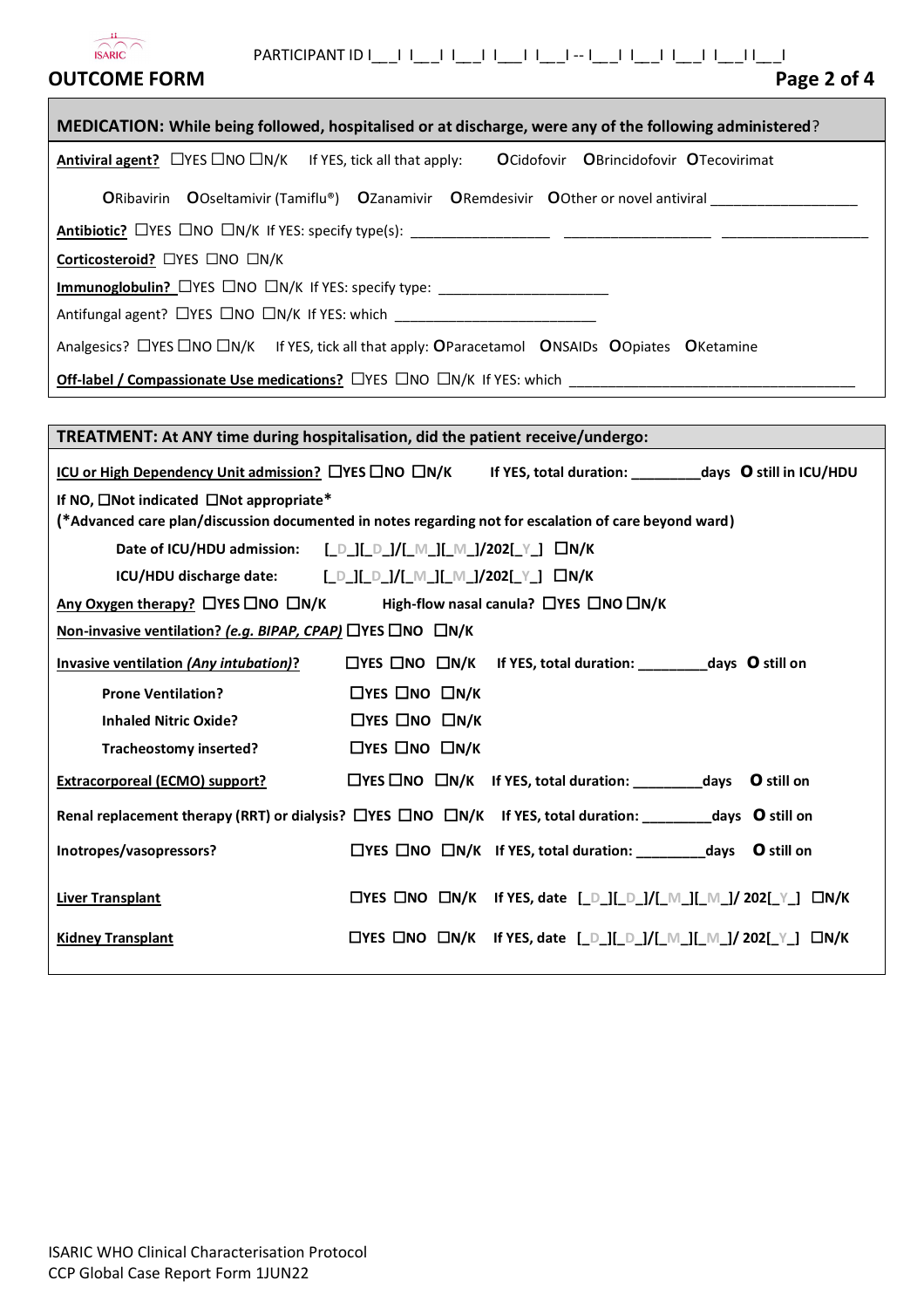| Page 2 of 4<br><b>OUTCOME FORM</b>                                                                                                                                                                                                                                                                       |
|----------------------------------------------------------------------------------------------------------------------------------------------------------------------------------------------------------------------------------------------------------------------------------------------------------|
| MEDICATION: While being followed, hospitalised or at discharge, were any of the following administered?                                                                                                                                                                                                  |
| Antiviral agent? □ YES □ NO □ N/K If YES, tick all that apply: OCidofovir OBrincidofovir OTecovirimat                                                                                                                                                                                                    |
| ORibavirin OOseltamivir (Tamiflu®) OZanamivir ORemdesivir OOther or novel antiviral                                                                                                                                                                                                                      |
|                                                                                                                                                                                                                                                                                                          |
| Corticosteroid? □YES □NO □N/K                                                                                                                                                                                                                                                                            |
| Immunoglobulin? CYES CINO CIN/K If YES: specify type: __________________________                                                                                                                                                                                                                         |
| Antifungal agent? LYES LNO LN/K If YES: which __________________________________                                                                                                                                                                                                                         |
| Analgesics? □YES □NO □N/K If YES, tick all that apply: OParacetamol ONSAIDs OOpiates OKetamine                                                                                                                                                                                                           |
|                                                                                                                                                                                                                                                                                                          |
|                                                                                                                                                                                                                                                                                                          |
| TREATMENT: At ANY time during hospitalisation, did the patient receive/undergo:                                                                                                                                                                                                                          |
| <u>ICU or High Dependency Unit admission?</u> $\Box$ YES $\Box$ NO $\Box$ N/K If YES, total duration: __________days O still in ICU/HDU                                                                                                                                                                  |
| If NO, $\square$ Not indicated $\square$ Not appropriate*<br>(*Advanced care plan/discussion documented in notes regarding not for escalation of care beyond ward)                                                                                                                                       |
| Date of ICU/HDU admission: [D_][_D_]/[_M_][_M_]/202[_Y_] $\Box N/K$                                                                                                                                                                                                                                      |
| ICU/HDU discharge date: $\begin{bmatrix} 0 & 1 & 0 \\ 0 & 1 & 0 \end{bmatrix} \begin{bmatrix} 0 & 1 & 0 \\ 0 & 1 & 0 \end{bmatrix}$ $\begin{bmatrix} 0 & 1 & 0 \\ 0 & 1 & 0 \end{bmatrix}$ $\begin{bmatrix} 0 & 0 & 0 \\ 0 & 1 & 0 \end{bmatrix}$ $\begin{bmatrix} 0 & 0 & 0 \\ 0 & 0 & 1 \end{bmatrix}$ |
| High-flow nasal canula? □YES □NO □N/K<br>Any Oxygen therapy? $\Box$ YES $\Box$ NO $\Box$ N/K                                                                                                                                                                                                             |
| Non-invasive ventilation? (e.g. BIPAP, CPAP) □YES □NO □N/K                                                                                                                                                                                                                                               |
| □YES □NO □N/K If YES, total duration: ____________ days O still on<br><b>Invasive ventilation (Any intubation)?</b>                                                                                                                                                                                      |
| $\Box$ YES $\Box$ NO $\Box$ N/K<br><b>Prone Ventilation?</b>                                                                                                                                                                                                                                             |
| $\Box$ YES $\Box$ NO $\Box$ N/K<br><b>Inhaled Nitric Oxide?</b>                                                                                                                                                                                                                                          |
| $\Box$ YES $\Box$ NO $\Box$ N/K<br><b>Tracheostomy inserted?</b>                                                                                                                                                                                                                                         |
| $\Box$ YES $\Box$ NO $\Box$ N/K If YES, total duration: __________________days O still on<br><b>Extracorporeal (ECMO) support?</b>                                                                                                                                                                       |
| Renal replacement therapy (RRT) or dialysis? $\Box$ YES $\Box$ NO $\Box$ N/K If YES, total duration: __________days O still on                                                                                                                                                                           |
| Inotropes/vasopressors?<br>$\Box$ YES $\Box$ NO $\Box$ N/K If YES, total duration: _____________days O still on                                                                                                                                                                                          |
| □YES □NO □N/K If YES, date [_D_][_D_]/[_M_][_M_]/ 202[_Y_] □N/K<br><b>Liver Transplant</b>                                                                                                                                                                                                               |
| □YES □NO □N/K If YES, date [_D_][_D_]/[_M_][_M_]/ 202[_Y_] □N/K<br><b>Kidney Transplant</b>                                                                                                                                                                                                              |
|                                                                                                                                                                                                                                                                                                          |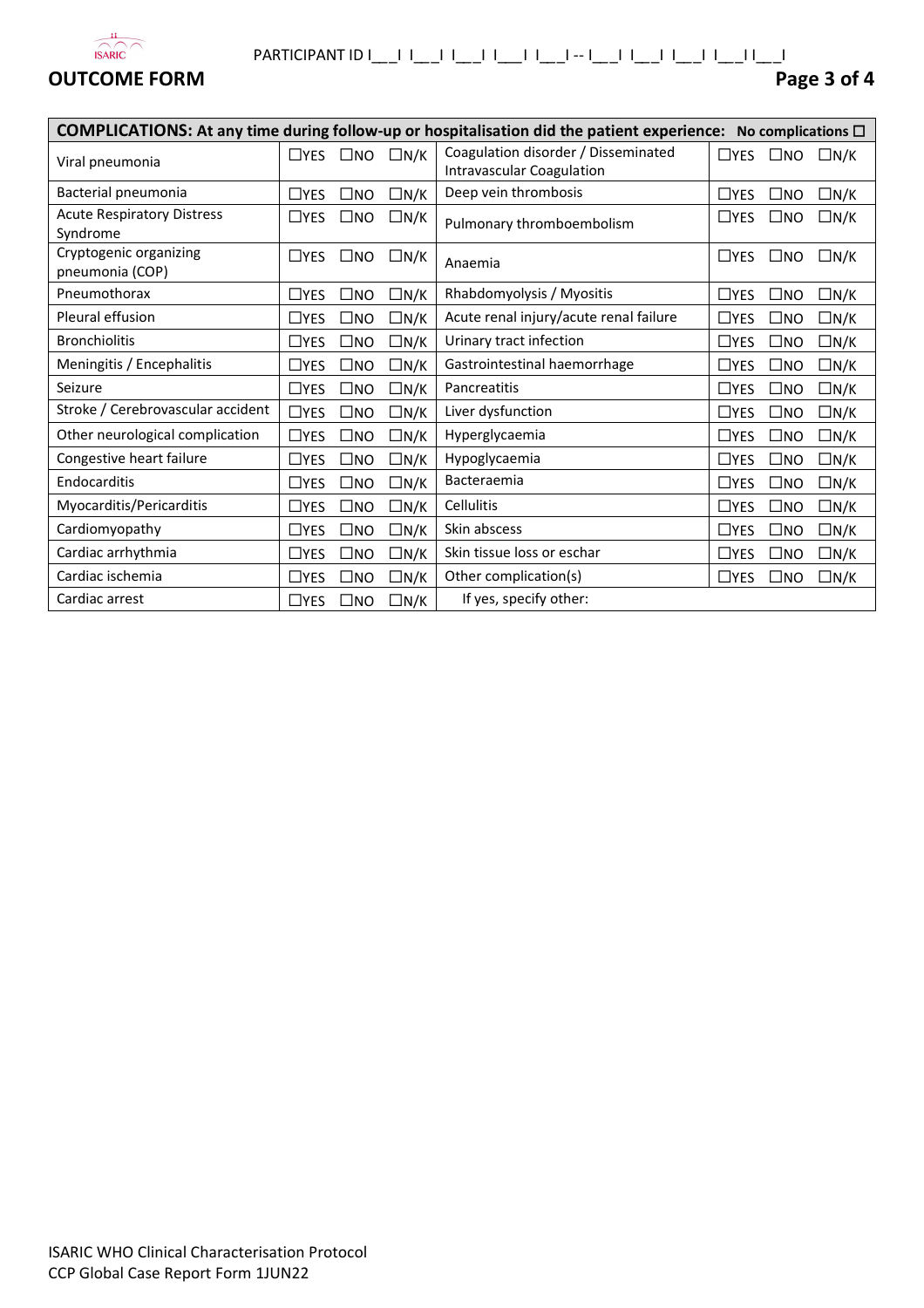

# PARTICIPANT ID I\_*\_*\_I I\_*\_*\_I I\_*\_*\_I I\_*\_\_*I I\_*\_*\_I -- I\_*\_*\_I I\_*\_*\_I I\_*\_*\_I I\_*\_*\_I I\_*\_*\_I

# **OUTCOME FORM Page 3 of 4**

 $\mathbf{r}$ 

| COMPLICATIONS: At any time during follow-up or hospitalisation did the patient experience: No complications $\Box$ |            |              |            |                                                                         |               |              |            |
|--------------------------------------------------------------------------------------------------------------------|------------|--------------|------------|-------------------------------------------------------------------------|---------------|--------------|------------|
| Viral pneumonia                                                                                                    | $\Box$ YES | $\square$ NO | $\Box N/K$ | Coagulation disorder / Disseminated<br><b>Intravascular Coagulation</b> | $\Box$ YES    | $\square$ NO | $\Box N/K$ |
| Bacterial pneumonia                                                                                                | $\Box$ YES | $\Box$ No    | $\Box N/K$ | Deep vein thrombosis                                                    | $\square$ YES | $\square$ NO | $\Box N/K$ |
| <b>Acute Respiratory Distress</b><br>Syndrome                                                                      | $\Box$ YES | $\square$ NO | $\Box N/K$ | Pulmonary thromboembolism                                               | $\Box$ YES    | $\square$ NO | $\Box N/K$ |
| Cryptogenic organizing<br>pneumonia (COP)                                                                          | $\Box$ YES | $\square$ NO | $\Box$ N/K | Anaemia                                                                 | $\Box$ YES    | $\square$ NO | $\Box N/K$ |
| Pneumothorax                                                                                                       | $\Box$ YES | $\square$ NO | $\Box N/K$ | Rhabdomyolysis / Myositis                                               | $\Box$ YES    | $\square$ NO | $\Box N/K$ |
| Pleural effusion                                                                                                   | $\Box$ YES | $\square$ NO | $\Box N/K$ | Acute renal injury/acute renal failure                                  | $\Box$ YES    | $\square$ NO | $\Box N/K$ |
| <b>Bronchiolitis</b>                                                                                               | $\Box$ YES | $\square$ NO | $\Box N/K$ | Urinary tract infection                                                 | $\Box$ YES    | $\square$ NO | $\Box N/K$ |
| Meningitis / Encephalitis                                                                                          | $\Box$ YES | $\square$ NO | $\Box N/K$ | Gastrointestinal haemorrhage                                            | $\Box$ YES    | $\square$ NO | $\Box N/K$ |
| Seizure                                                                                                            | $\Box$ YES | $\square$ NO | $\Box N/K$ | Pancreatitis                                                            | $\Box$ YES    | $\square$ NO | $\Box N/K$ |
| Stroke / Cerebrovascular accident                                                                                  | $\Box$ YES | $\square$ NO | $\Box N/K$ | Liver dysfunction                                                       | $\square$ YES | $\square$ NO | $\Box N/K$ |
| Other neurological complication                                                                                    | $\Box$ YES | $\square$ NO | $\Box N/K$ | Hyperglycaemia                                                          | $\square$ YES | $\square$ NO | $\Box N/K$ |
| Congestive heart failure                                                                                           | $\Box$ YES | $\square$ NO | $\Box N/K$ | Hypoglycaemia                                                           | $\Box$ YES    | $\square$ NO | $\Box N/K$ |
| Endocarditis                                                                                                       | $\Box$ YES | $\square$ NO | $\Box N/K$ | Bacteraemia                                                             | $\Box$ YES    | $\square$ NO | $\Box N/K$ |
| Myocarditis/Pericarditis                                                                                           | $\Box$ YES | $\square$ NO | $\Box N/K$ | Cellulitis                                                              | $\Box$ YES    | $\square$ NO | $\Box N/K$ |
| Cardiomyopathy                                                                                                     | $\Box$ YES | $\square$ NO | $\Box N/K$ | Skin abscess                                                            | $\Box$ YES    | $\square$ NO | $\Box N/K$ |
| Cardiac arrhythmia                                                                                                 | $\Box$ YES | $\square$ NO | $\Box N/K$ | Skin tissue loss or eschar                                              | $\Box$ YES    | $\square$ NO | $\Box N/K$ |
| Cardiac ischemia                                                                                                   | $\Box$ YES | $\square$ NO | $\Box N/K$ | Other complication(s)                                                   | $\Box$ YES    | $\square$ NO | $\Box N/K$ |
| Cardiac arrest                                                                                                     | $\Box$ YES | $\square$ NO | $\Box N/K$ | If yes, specify other:                                                  |               |              |            |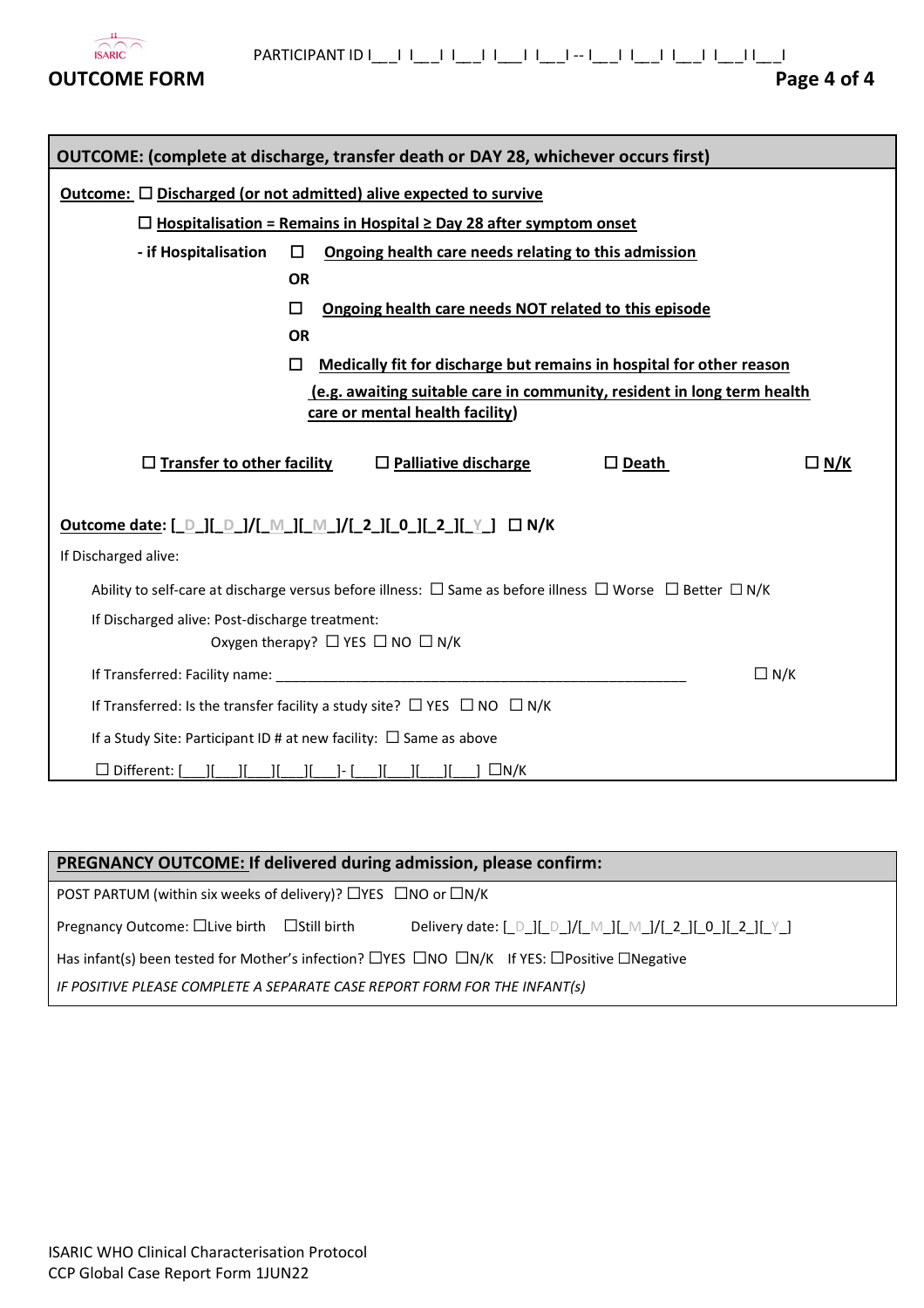

| <b>OUTCOME:</b> (complete at discharge, transfer death or DAY 28, whichever occurs first)                                                                             |                                                                                |                                                                         |  |  |  |  |
|-----------------------------------------------------------------------------------------------------------------------------------------------------------------------|--------------------------------------------------------------------------------|-------------------------------------------------------------------------|--|--|--|--|
| Outcome: $\square$ Discharged (or not admitted) alive expected to survive                                                                                             |                                                                                |                                                                         |  |  |  |  |
|                                                                                                                                                                       | $\Box$ Hospitalisation = Remains in Hospital $\geq$ Day 28 after symptom onset |                                                                         |  |  |  |  |
| - if Hospitalisation                                                                                                                                                  | □<br>Ongoing health care needs relating to this admission                      |                                                                         |  |  |  |  |
|                                                                                                                                                                       | <b>OR</b>                                                                      |                                                                         |  |  |  |  |
|                                                                                                                                                                       | П                                                                              | Ongoing health care needs NOT related to this episode                   |  |  |  |  |
|                                                                                                                                                                       | <b>OR</b>                                                                      |                                                                         |  |  |  |  |
| Medically fit for discharge but remains in hospital for other reason<br>П                                                                                             |                                                                                |                                                                         |  |  |  |  |
|                                                                                                                                                                       |                                                                                | (e.g. awaiting suitable care in community, resident in long term health |  |  |  |  |
|                                                                                                                                                                       |                                                                                | care or mental health facility)                                         |  |  |  |  |
| $\Box$ Transfer to other facility<br>$\Box$ Palliative discharge<br>$\square$ Death<br>□ <u>N/K</u>                                                                   |                                                                                |                                                                         |  |  |  |  |
| Outcome date: [ D ][ D ]/[ M ][ M ]/[ 2 ][ 0 ][ 2 ][ Y ] □ N/K                                                                                                        |                                                                                |                                                                         |  |  |  |  |
| If Discharged alive:                                                                                                                                                  |                                                                                |                                                                         |  |  |  |  |
| Ability to self-care at discharge versus before illness: $\Box$ Same as before illness $\Box$ Worse $\Box$ Better $\Box$ N/K                                          |                                                                                |                                                                         |  |  |  |  |
| If Discharged alive: Post-discharge treatment:                                                                                                                        |                                                                                |                                                                         |  |  |  |  |
| Oxygen therapy? $\Box$ YES $\Box$ NO $\Box$ N/K                                                                                                                       |                                                                                |                                                                         |  |  |  |  |
| $\Box N/K$                                                                                                                                                            |                                                                                |                                                                         |  |  |  |  |
| If Transferred: Is the transfer facility a study site? $\Box$ YES $\Box$ NO $\Box$ N/K                                                                                |                                                                                |                                                                         |  |  |  |  |
| If a Study Site: Participant ID # at new facility: $\Box$ Same as above                                                                                               |                                                                                |                                                                         |  |  |  |  |
| $\Box$ Different: $\Box$<br>$\Box N/K$<br>$\begin{bmatrix} 1 & 1 & 1 \end{bmatrix}$ if $\begin{bmatrix} 1 & 1 \end{bmatrix}$ if $\begin{bmatrix} 1 & 1 \end{bmatrix}$ |                                                                                |                                                                         |  |  |  |  |

# **PREGNANCY OUTCOME: If delivered during admission, please confirm: Pregnancy Outcome:** □Live birth □Still birth POST PARTUM (within six weeks of delivery)? □YES □NO or □N/K Delivery date:  $[\_D\_]$ [ $\_$ D $\_]$ / $[\_M\_]$ [ $\_M\_$ ]/ $[\_2\_]$ [ $\_0\_]$ [ $\_2\_]$ [ $\_$ Y $\_]$ Has infant(s) been tested for Mother's infection? □YES □NO □N/K If YES: □Positive □Negative *IF POSITIVE PLEASE COMPLETE A SEPARATE CASE REPORT FORM FOR THE INFANT(s)*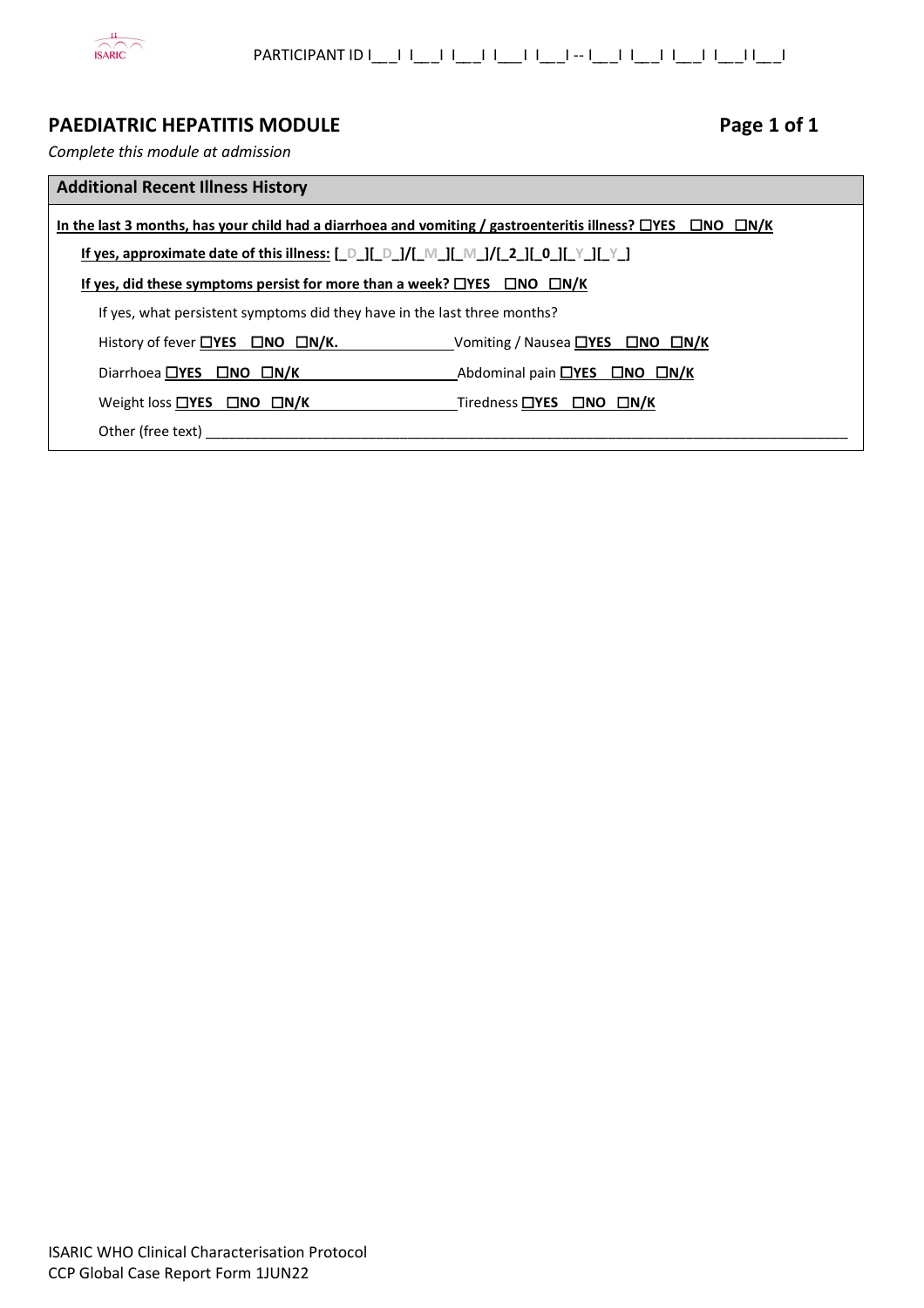

# **PAEDIATRIC HEPATITIS MODULE Page 1 of 1**

*Complete this module at admission* 

| <b>Additional Recent Illness History</b>                                                                                     |                                                                     |  |  |  |
|------------------------------------------------------------------------------------------------------------------------------|---------------------------------------------------------------------|--|--|--|
| In the last 3 months, has your child had a diarrhoea and vomiting / gastroenteritis illness? $\Box$ YES $\Box$ NO $\Box$ N/K |                                                                     |  |  |  |
| If yes, approximate date of this illness: $[D_1][D_1]/[M_1][M_2][2_1][0_1][Y_1][Y_2]$                                        |                                                                     |  |  |  |
| If yes, did these symptoms persist for more than a week? $\Box$ YES $\Box$ NO $\Box$ N/K                                     |                                                                     |  |  |  |
| If yes, what persistent symptoms did they have in the last three months?                                                     |                                                                     |  |  |  |
| History of fever $\Box$ YES $\Box$ NO $\Box$ N/K.                                                                            | Vomiting / Nausea $\Box$ YES $\Box$ NO $\Box$ N/K                   |  |  |  |
| Diarrhoea $\Box$ YES $\Box$ NO $\Box$ N/K                                                                                    | Abdominal pain $\Box$ <b>YES</b> $\Box$ <b>NO</b> $\Box$ <b>N/K</b> |  |  |  |
| Weight loss $\Box$ YES $\Box$ NO $\Box$ N/K                                                                                  | Tiredness $\Box$ YES $\Box$ NO $\Box$ N/K                           |  |  |  |
| Other (free text)                                                                                                            |                                                                     |  |  |  |